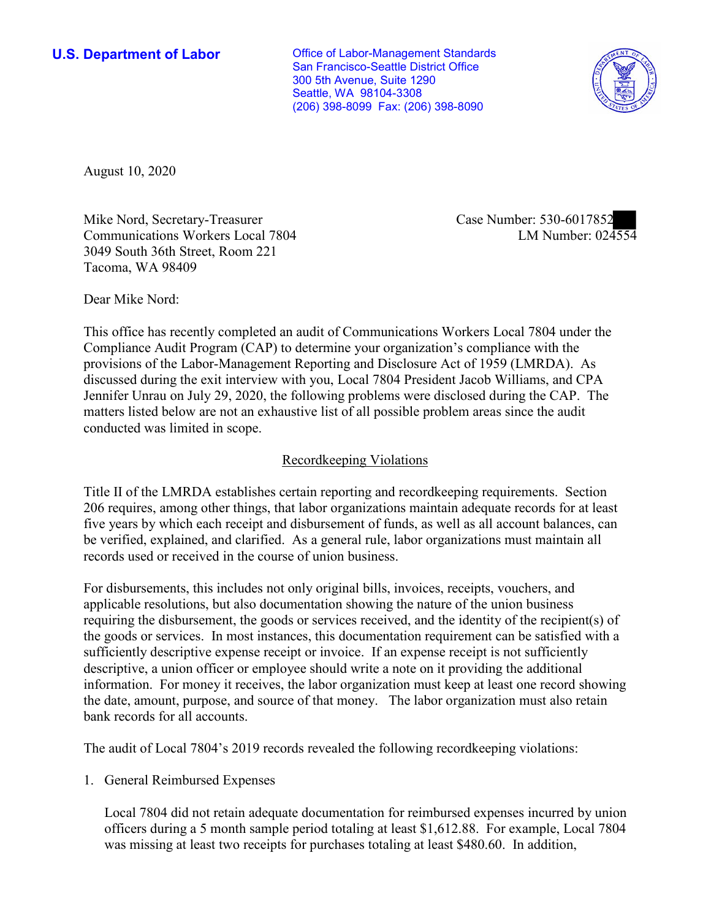**U.S. Department of Labor Conservative Conservative Conservative Conservative U.S.** Department of Labor San Francisco-Seattle District Office 300 5th Avenue, Suite 1290 Seattle, WA 98104-3308 (206) 398-8099 Fax: (206) 398-8090



August 10, 2020

Mike Nord, Secretary-Treasurer Communications Workers Local 7804 3049 South 36th Street, Room 221 Tacoma, WA 98409

Case Number: 530-6017852<br>LM Number: 024554

Dear Mike Nord:

 This office has recently completed an audit of Communications Workers Local 7804 under the Compliance Audit Program (CAP) to determine your organization's compliance with the provisions of the Labor-Management Reporting and Disclosure Act of 1959 (LMRDA). As discussed during the exit interview with you, Local 7804 President Jacob Williams, and CPA Jennifer Unrau on July 29, 2020, the following problems were disclosed during the CAP. The matters listed below are not an exhaustive list of all possible problem areas since the audit conducted was limited in scope.

## Recordkeeping Violations

 Title II of the LMRDA establishes certain reporting and recordkeeping requirements. Section 206 requires, among other things, that labor organizations maintain adequate records for at least five years by which each receipt and disbursement of funds, as well as all account balances, can be verified, explained, and clarified. As a general rule, labor organizations must maintain all records used or received in the course of union business.

For disbursements, this includes not only original bills, invoices, receipts, vouchers, and applicable resolutions, but also documentation showing the nature of the union business requiring the disbursement, the goods or services received, and the identity of the recipient(s) of the goods or services. In most instances, this documentation requirement can be satisfied with a sufficiently descriptive expense receipt or invoice. If an expense receipt is not sufficiently descriptive, a union officer or employee should write a note on it providing the additional information. For money it receives, the labor organization must keep at least one record showing the date, amount, purpose, and source of that money. The labor organization must also retain bank records for all accounts.

The audit of Local 7804's 2019 records revealed the following recordkeeping violations:

1. General Reimbursed Expenses

 was missing at least two receipts for purchases totaling at least \$480.60. In addition, Local 7804 did not retain adequate documentation for reimbursed expenses incurred by union officers during a 5 month sample period totaling at least \$[1,612.88.](https://1,612.88) For example, Local 7804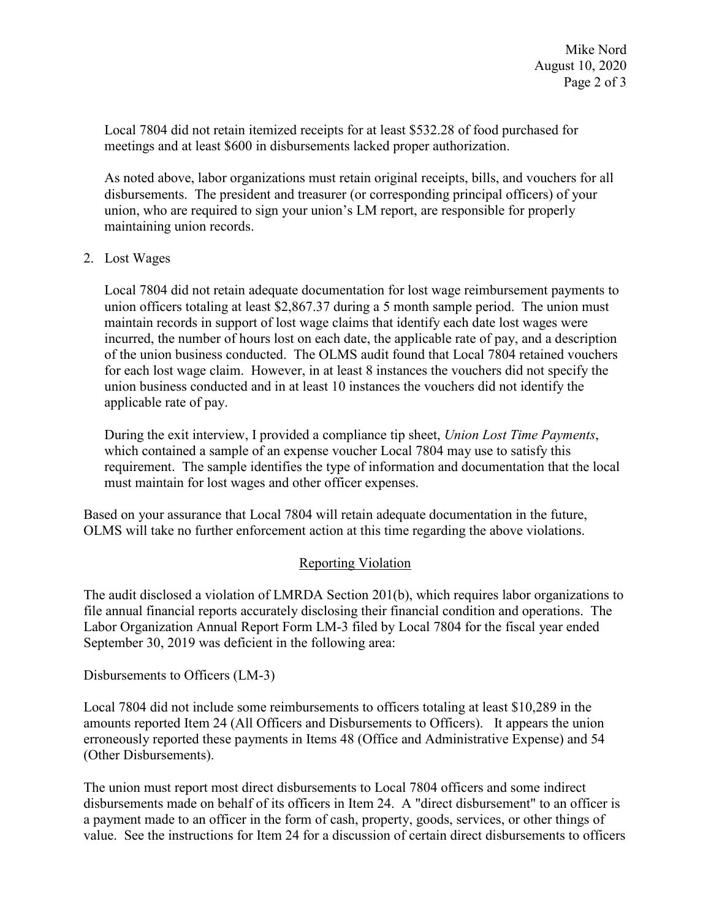Local 7804 did not retain itemized receipts for at least \$532.28 of food purchased for meetings and at least \$600 in disbursements lacked proper authorization.

 disbursements. The president and treasurer (or corresponding principal officers) of your As noted above, labor organizations must retain original receipts, bills, and vouchers for all union, who are required to sign your union's LM report, are responsible for properly maintaining union records.

## 2. Lost Wages

 union officers totaling at least [\\$2,867.37](https://2,867.37) during a 5 month sample period. The union must applicable rate of pay. Local 7804 did not retain adequate documentation for lost wage reimbursement payments to maintain records in support of lost wage claims that identify each date lost wages were incurred, the number of hours lost on each date, the applicable rate of pay, and a description of the union business conducted. The OLMS audit found that Local 7804 retained vouchers for each lost wage claim. However, in at least 8 instances the vouchers did not specify the union business conducted and in at least 10 instances the vouchers did not identify the

 which contained a sample of an expense voucher Local 7804 may use to satisfy this During the exit interview, I provided a compliance tip sheet, *Union Lost Time Payments*, requirement. The sample identifies the type of information and documentation that the local must maintain for lost wages and other officer expenses.

 Based on your assurance that Local 7804 will retain adequate documentation in the future, OLMS will take no further enforcement action at this time regarding the above violations.

## Reporting Violation

 Labor Organization Annual Report Form LM-3 filed by Local 7804 for the fiscal year ended The audit disclosed a violation of LMRDA Section 201(b), which requires labor organizations to file annual financial reports accurately disclosing their financial condition and operations. The September 30, 2019 was deficient in the following area:

Disbursements to Officers (LM-3)

Local 7804 did not include some reimbursements to officers totaling at least \$10,289 in the amounts reported Item 24 (All Officers and Disbursements to Officers). It appears the union erroneously reported these payments in Items 48 (Office and Administrative Expense) and 54 (Other Disbursements).

 value. See the instructions for Item 24 for a discussion of certain direct disbursements to officers The union must report most direct disbursements to Local 7804 officers and some indirect disbursements made on behalf of its officers in Item 24. A "direct disbursement" to an officer is a payment made to an officer in the form of cash, property, goods, services, or other things of